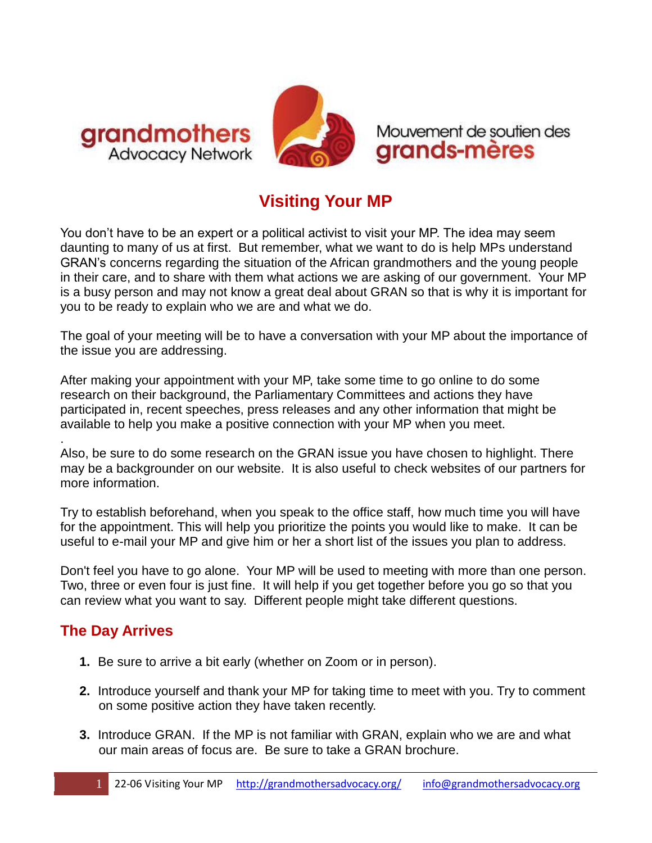



Mouvement de soutien des grands-mères

## **Visiting Your MP**

You don't have to be an expert or a political activist to visit your MP. The idea may seem daunting to many of us at first. But remember, what we want to do is help MPs understand GRAN's concerns regarding the situation of the African grandmothers and the young people in their care, and to share with them what actions we are asking of our government. Your MP is a busy person and may not know a great deal about GRAN so that is why it is important for you to be ready to explain who we are and what we do.

The goal of your meeting will be to have a conversation with your MP about the importance of the issue you are addressing.

After making your appointment with your MP, take some time to go online to do some research on their background, the Parliamentary Committees and actions they have participated in, recent speeches, press releases and any other information that might be available to help you make a positive connection with your MP when you meet.

. Also, be sure to do some research on the GRAN issue you have chosen to highlight. There may be a backgrounder on our website. It is also useful to check websites of our partners for more information.

Try to establish beforehand, when you speak to the office staff, how much time you will have for the appointment. This will help you prioritize the points you would like to make. It can be useful to e-mail your MP and give him or her a short list of the issues you plan to address.

Don't feel you have to go alone. Your MP will be used to meeting with more than one person. Two, three or even four is just fine. It will help if you get together before you go so that you can review what you want to say. Different people might take different questions.

## **The Day Arrives**

- **1.** Be sure to arrive a bit early (whether on Zoom or in person).
- **2.** Introduce yourself and thank your MP for taking time to meet with you. Try to comment on some positive action they have taken recently.
- **3.** Introduce GRAN. If the MP is not familiar with GRAN, explain who we are and what our main areas of focus are. Be sure to take a GRAN brochure.